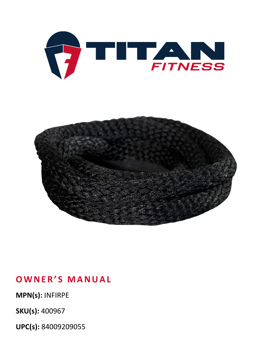

### **OWNER'S MANUAL**

**MPN(s):** INFIRPE

**SKU(s):** 400967

**UPC(s):** 84009209055